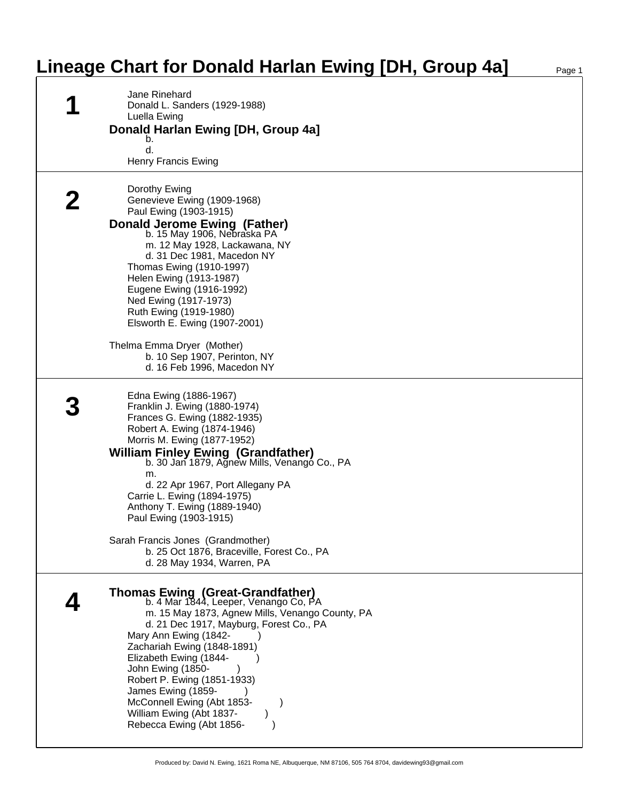## **Lineage Chart for Donald Harlan Ewing [DH, Group 4a]** Page 1

| Jane Rinehard<br>Donald L. Sanders (1929-1988)<br>Luella Ewing<br>Donald Harlan Ewing [DH, Group 4a]<br>b.<br>d.<br><b>Henry Francis Ewing</b>                                                                                                                                                                                                                                                                                                                                                         |
|--------------------------------------------------------------------------------------------------------------------------------------------------------------------------------------------------------------------------------------------------------------------------------------------------------------------------------------------------------------------------------------------------------------------------------------------------------------------------------------------------------|
| Dorothy Ewing<br>Genevieve Ewing (1909-1968)<br>Paul Ewing (1903-1915)<br><b>Donald Jerome Ewing (Father)</b><br>b. 15 May 1906, Nebraska PA<br>m. 12 May 1928, Lackawana, NY<br>d. 31 Dec 1981, Macedon NY<br>Thomas Ewing (1910-1997)<br>Helen Ewing (1913-1987)<br>Eugene Ewing (1916-1992)<br>Ned Ewing (1917-1973)<br>Ruth Ewing (1919-1980)<br>Elsworth E. Ewing (1907-2001)<br>Thelma Emma Dryer (Mother)<br>b. 10 Sep 1907, Perinton, NY<br>d. 16 Feb 1996, Macedon NY                         |
| Edna Ewing (1886-1967)<br>Franklin J. Ewing (1880-1974)<br>Frances G. Ewing (1882-1935)<br>Robert A. Ewing (1874-1946)<br>Morris M. Ewing (1877-1952)<br><b>William Finley Ewing (Grandfather)</b><br>b. 30 Jan 1879, Agnew Mills, Venangó Co., PA<br>m.<br>d. 22 Apr 1967, Port Allegany PA<br>Carrie L. Ewing (1894-1975)<br>Anthony T. Ewing (1889-1940)<br>Paul Ewing (1903-1915)<br>Sarah Francis Jones (Grandmother)<br>b. 25 Oct 1876, Braceville, Forest Co., PA<br>d. 28 May 1934, Warren, PA |
| Thomas Ewing (Great-Grandfather)<br>b. 4 Mar 1844, Leeper, Venango Co, PA<br>m. 15 May 1873, Agnew Mills, Venango County, PA<br>d. 21 Dec 1917, Mayburg, Forest Co., PA<br>Mary Ann Ewing (1842-<br>Zachariah Ewing (1848-1891)<br>Elizabeth Ewing (1844-<br>John Ewing (1850-<br>Robert P. Ewing (1851-1933)<br>James Ewing (1859-<br>McConnell Ewing (Abt 1853-<br>William Ewing (Abt 1837-<br>Rebecca Ewing (Abt 1856-                                                                              |